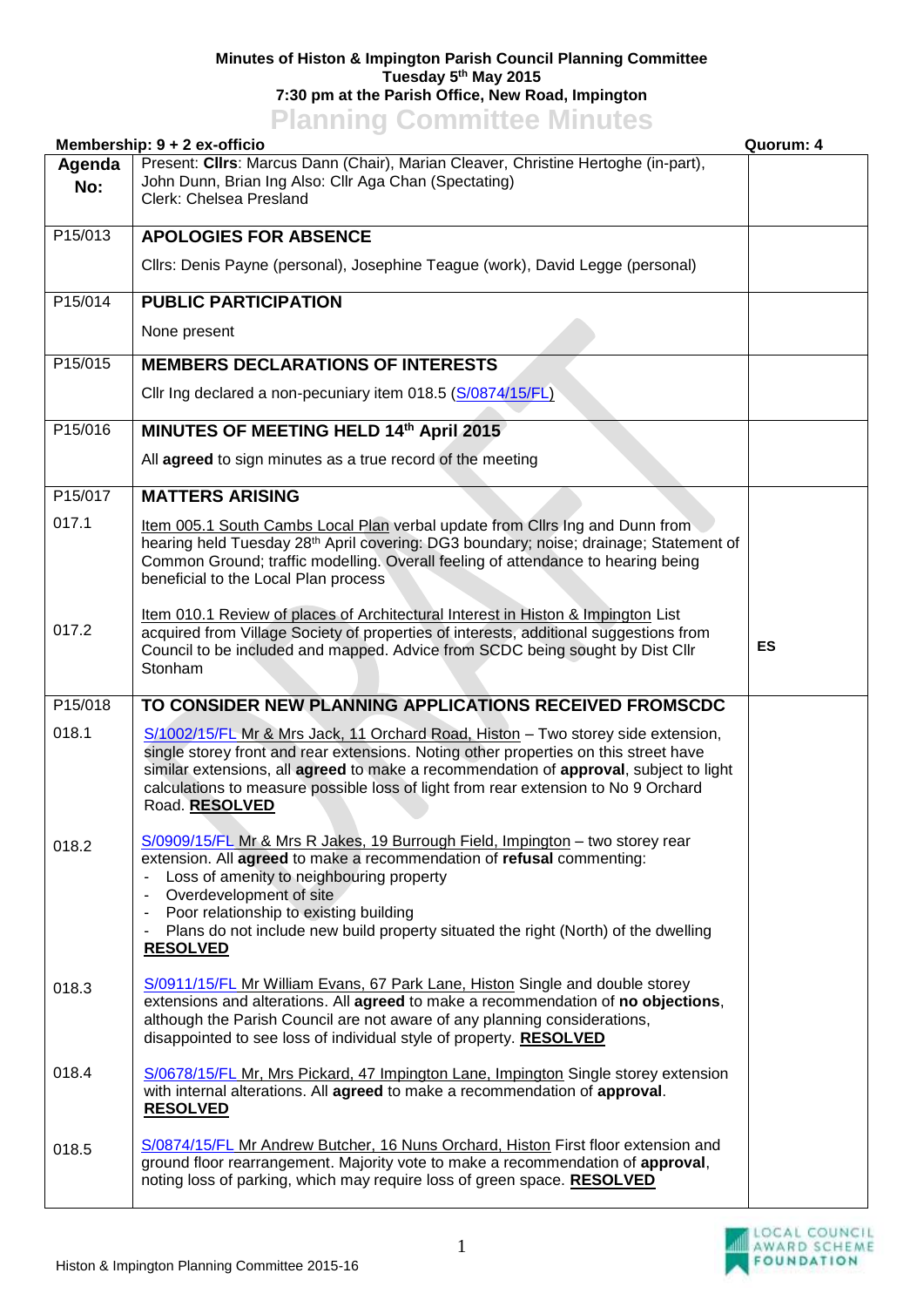## **Minutes of Histon & Impington Parish Council Planning Committee Tuesday 5 th May 2015 7:30 pm at the Parish Office, New Road, Impington Planning Committee Minutes**

|               | Membership: 9 + 2 ex-officio                                                                                                                                                                                                                                                                                                                                                                                                           | Quorum: 4 |
|---------------|----------------------------------------------------------------------------------------------------------------------------------------------------------------------------------------------------------------------------------------------------------------------------------------------------------------------------------------------------------------------------------------------------------------------------------------|-----------|
| Agenda<br>No: | Present: Clirs: Marcus Dann (Chair), Marian Cleaver, Christine Hertoghe (in-part),<br>John Dunn, Brian Ing Also: Cllr Aga Chan (Spectating)<br>Clerk: Chelsea Presland                                                                                                                                                                                                                                                                 |           |
| P15/013       | <b>APOLOGIES FOR ABSENCE</b>                                                                                                                                                                                                                                                                                                                                                                                                           |           |
|               | Cllrs: Denis Payne (personal), Josephine Teague (work), David Legge (personal)                                                                                                                                                                                                                                                                                                                                                         |           |
| P15/014       | <b>PUBLIC PARTICIPATION</b>                                                                                                                                                                                                                                                                                                                                                                                                            |           |
|               | None present                                                                                                                                                                                                                                                                                                                                                                                                                           |           |
| P15/015       | <b>MEMBERS DECLARATIONS OF INTERESTS</b>                                                                                                                                                                                                                                                                                                                                                                                               |           |
|               | Cllr Ing declared a non-pecuniary item 018.5 (S/0874/15/FL)                                                                                                                                                                                                                                                                                                                                                                            |           |
| P15/016       | MINUTES OF MEETING HELD 14th April 2015                                                                                                                                                                                                                                                                                                                                                                                                |           |
|               | All agreed to sign minutes as a true record of the meeting                                                                                                                                                                                                                                                                                                                                                                             |           |
| P15/017       | <b>MATTERS ARISING</b>                                                                                                                                                                                                                                                                                                                                                                                                                 |           |
| 017.1         | Item 005.1 South Cambs Local Plan verbal update from Clirs Ing and Dunn from<br>hearing held Tuesday 28 <sup>th</sup> April covering: DG3 boundary; noise; drainage; Statement of<br>Common Ground; traffic modelling. Overall feeling of attendance to hearing being<br>beneficial to the Local Plan process                                                                                                                          |           |
| 017.2         | Item 010.1 Review of places of Architectural Interest in Histon & Impington List<br>acquired from Village Society of properties of interests, additional suggestions from<br>Council to be included and mapped. Advice from SCDC being sought by Dist Cllr<br>Stonham                                                                                                                                                                  | ES        |
| P15/018       | TO CONSIDER NEW PLANNING APPLICATIONS RECEIVED FROMSCDC                                                                                                                                                                                                                                                                                                                                                                                |           |
| 018.1         | S/1002/15/FL Mr & Mrs Jack, 11 Orchard Road, Histon - Two storey side extension,<br>single storey front and rear extensions. Noting other properties on this street have<br>similar extensions, all agreed to make a recommendation of approval, subject to light<br>calculations to measure possible loss of light from rear extension to No 9 Orchard<br>Road. RESOLVED                                                              |           |
| 018.2         | S/0909/15/FL Mr & Mrs R Jakes, 19 Burrough Field, Impington - two storey rear<br>extension. All agreed to make a recommendation of refusal commenting:<br>Loss of amenity to neighbouring property<br>Overdevelopment of site<br>$\blacksquare$<br>Poor relationship to existing building<br>$\blacksquare$<br>Plans do not include new build property situated the right (North) of the dwelling<br>$\blacksquare$<br><b>RESOLVED</b> |           |
| 018.3         | S/0911/15/FL Mr William Evans, 67 Park Lane, Histon Single and double storey<br>extensions and alterations. All agreed to make a recommendation of no objections,<br>although the Parish Council are not aware of any planning considerations,<br>disappointed to see loss of individual style of property. RESOLVED                                                                                                                   |           |
| 018.4         | S/0678/15/FL Mr, Mrs Pickard, 47 Impington Lane, Impington Single storey extension<br>with internal alterations. All agreed to make a recommendation of approval.<br><b>RESOLVED</b>                                                                                                                                                                                                                                                   |           |
| 018.5         | S/0874/15/FL Mr Andrew Butcher, 16 Nuns Orchard, Histon First floor extension and<br>ground floor rearrangement. Majority vote to make a recommendation of approval,<br>noting loss of parking, which may require loss of green space. RESOLVED                                                                                                                                                                                        |           |